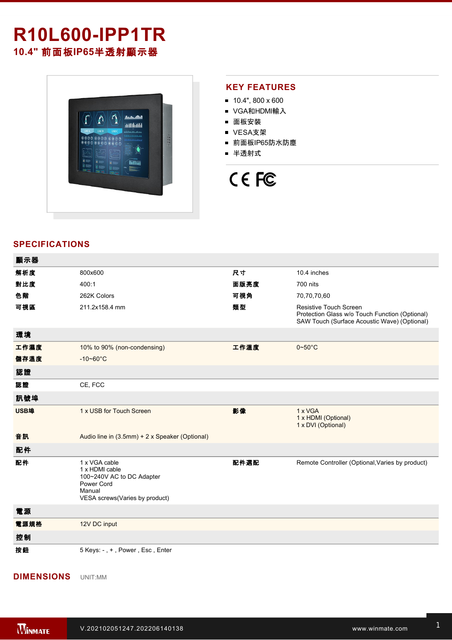# **R10L600IPP1TR**

**10.4"** 前面板**IP65**半透射顯示器



#### **KEY FEATURES**

- $10.4$ ", 800 x 600
- VGA和HDMI輸入
- 面板安裝
- VESA支架
- 前面板IP65防水防塵
- 半透射式

## CE FC

### **SPECIFICATIONS**

| 顯示器  |                                                                            |      |                                                                                                                                 |
|------|----------------------------------------------------------------------------|------|---------------------------------------------------------------------------------------------------------------------------------|
| 解析度  | 800x600                                                                    | 尺寸   | 10.4 inches                                                                                                                     |
| 對比度  | 400:1                                                                      | 面版亮度 | 700 nits                                                                                                                        |
| 色階   | 262K Colors                                                                | 可視角  | 70,70,70,60                                                                                                                     |
| 可視區  | 211.2x158.4 mm                                                             | 類型   | <b>Resistive Touch Screen</b><br>Protection Glass w/o Touch Function (Optional)<br>SAW Touch (Surface Acoustic Wave) (Optional) |
| 環境   |                                                                            |      |                                                                                                                                 |
| 工作濕度 | 10% to 90% (non-condensing)                                                | 工作溫度 | $0\negthinspace\negthinspace\negthinspace 50^{\circ}\mathrm{C}$                                                                 |
| 儲存溫度 | $-10 - 60^{\circ}$ C                                                       |      |                                                                                                                                 |
| 認證   |                                                                            |      |                                                                                                                                 |
| 認證   | CE, FCC                                                                    |      |                                                                                                                                 |
| 訊號埠  |                                                                            |      |                                                                                                                                 |
| USB埠 | 1 x USB for Touch Screen                                                   | 影像   | 1 x VGA<br>1 x HDMI (Optional)<br>1 x DVI (Optional)                                                                            |
| 音訊   | Audio line in (3.5mm) + 2 x Speaker (Optional)                             |      |                                                                                                                                 |
| 配件   |                                                                            |      |                                                                                                                                 |
| 配件   | 1 x VGA cable<br>1 x HDMI cable<br>100~240V AC to DC Adapter<br>Power Cord | 配件選配 | Remote Controller (Optional, Varies by product)                                                                                 |
|      | Manual<br>VESA screws(Varies by product)                                   |      |                                                                                                                                 |
| 電源   |                                                                            |      |                                                                                                                                 |
| 電源規格 | 12V DC input                                                               |      |                                                                                                                                 |
| 控制   |                                                                            |      |                                                                                                                                 |

#### **DIMENSIONS**  UNIT:MM